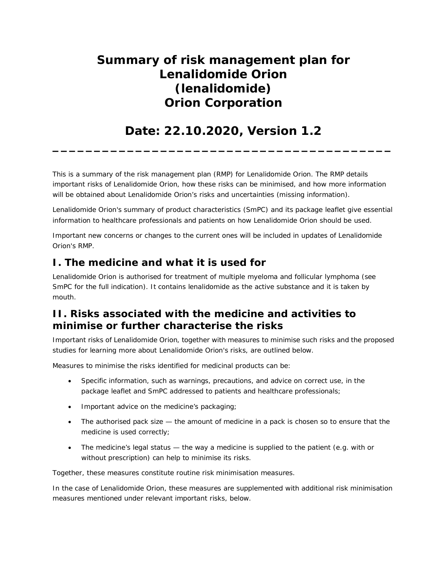# **Summary of risk management plan for Lenalidomide Orion (lenalidomide) Orion Corporation**

## **Date: 22.10.2020, Version 1.2 \_\_\_\_\_\_\_\_\_\_\_\_\_\_\_\_\_\_\_\_\_\_\_\_\_\_\_\_\_\_\_\_\_\_\_\_\_\_\_\_\_**

This is a summary of the risk management plan (RMP) for Lenalidomide Orion. The RMP details important risks of Lenalidomide Orion, how these risks can be minimised, and how more information will be obtained about Lenalidomide Orion's risks and uncertainties (missing information).

Lenalidomide Orion's summary of product characteristics (SmPC) and its package leaflet give essential information to healthcare professionals and patients on how Lenalidomide Orion should be used.

Important new concerns or changes to the current ones will be included in updates of Lenalidomide Orion's RMP.

### **I. The medicine and what it is used for**

Lenalidomide Orion is authorised for treatment of multiple myeloma and follicular lymphoma (see SmPC for the full indication). It contains lenalidomide as the active substance and it is taken by mouth.

## **II. Risks associated with the medicine and activities to minimise or further characterise the risks**

Important risks of Lenalidomide Orion, together with measures to minimise such risks and the proposed studies for learning more about Lenalidomide Orion's risks, are outlined below.

Measures to minimise the risks identified for medicinal products can be:

- Specific information, such as warnings, precautions, and advice on correct use, in the package leaflet and SmPC addressed to patients and healthcare professionals;
- Important advice on the medicine's packaging;
- The authorised pack size the amount of medicine in a pack is chosen so to ensure that the medicine is used correctly;
- The medicine's legal status the way a medicine is supplied to the patient (e.g. with or without prescription) can help to minimise its risks.

Together, these measures constitute *routine risk minimisation* measures.

In the case of Lenalidomide Orion, these measures are supplemented with *additional risk minimisation measures* mentioned under relevant important risks, below.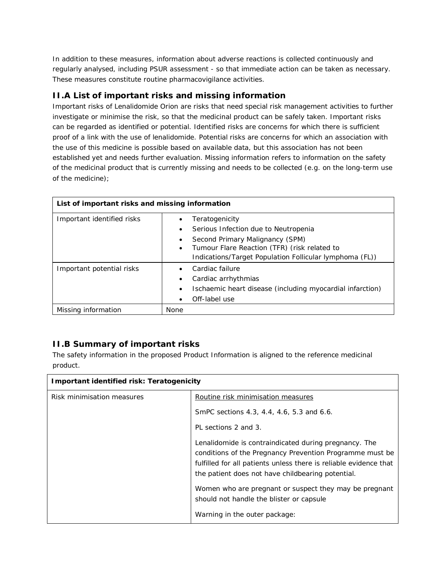In addition to these measures, information about adverse reactions is collected continuously and regularly analysed, including PSUR assessment - so that immediate action can be taken as necessary. These measures constitute *routine pharmacovigilance activities*.

#### *II.A List of important risks and missing information*

Important risks of Lenalidomide Orion are risks that need special risk management activities to further investigate or minimise the risk, so that the medicinal product can be safely taken. Important risks can be regarded as identified or potential. Identified risks are concerns for which there is sufficient proof of a link with the use of lenalidomide. Potential risks are concerns for which an association with the use of this medicine is possible based on available data, but this association has not been established yet and needs further evaluation. Missing information refers to information on the safety of the medicinal product that is currently missing and needs to be collected (e.g. on the long-term use of the medicine);

| List of important risks and missing information |                                                                                                                                                                                                           |  |
|-------------------------------------------------|-----------------------------------------------------------------------------------------------------------------------------------------------------------------------------------------------------------|--|
| Important identified risks                      | Teratogenicity<br>Serious Infection due to Neutropenia<br>Second Primary Malignancy (SPM)<br>Tumour Flare Reaction (TFR) (risk related to<br>٠<br>Indications/Target Population Follicular lymphoma (FL)) |  |
| Important potential risks                       | Cardiac failure<br>Cardiac arrhythmias<br>Ischaemic heart disease (including myocardial infarction)<br>Off-label use                                                                                      |  |
| Missing information                             | <b>None</b>                                                                                                                                                                                               |  |

#### *II.B Summary of important risks*

The safety information in the proposed Product Information is aligned to the reference medicinal product.

| Important identified risk: Teratogenicity |                                                                                                                                                                                                                                             |  |
|-------------------------------------------|---------------------------------------------------------------------------------------------------------------------------------------------------------------------------------------------------------------------------------------------|--|
| Risk minimisation measures                | Routine risk minimisation measures                                                                                                                                                                                                          |  |
|                                           | SmPC sections 4.3, 4.4, 4.6, 5.3 and 6.6.                                                                                                                                                                                                   |  |
|                                           | PL sections 2 and 3.                                                                                                                                                                                                                        |  |
|                                           | Lenalidomide is contraindicated during pregnancy. The<br>conditions of the Pregnancy Prevention Programme must be<br>fulfilled for all patients unless there is reliable evidence that<br>the patient does not have childbearing potential. |  |
|                                           | Women who are pregnant or suspect they may be pregnant<br>should not handle the blister or capsule                                                                                                                                          |  |
|                                           | Warning in the outer package:                                                                                                                                                                                                               |  |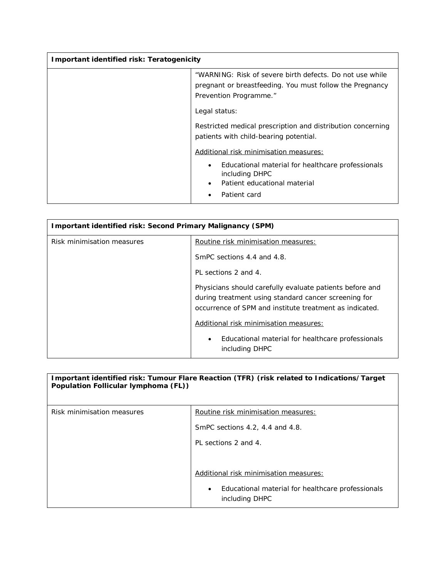| Important identified risk: Teratogenicity |                                                                                                                                                |  |
|-------------------------------------------|------------------------------------------------------------------------------------------------------------------------------------------------|--|
|                                           | "WARNING: Risk of severe birth defects. Do not use while<br>pregnant or breastfeeding. You must follow the Pregnancy<br>Prevention Programme." |  |
|                                           | Legal status:                                                                                                                                  |  |
|                                           | Restricted medical prescription and distribution concerning<br>patients with child-bearing potential.                                          |  |
|                                           | Additional risk minimisation measures:                                                                                                         |  |
|                                           | Educational material for healthcare professionals<br>٠<br>including DHPC<br>Patient educational material<br>Patient card                       |  |

| Important identified risk: Second Primary Malignancy (SPM) |                                                                                                                                                                             |  |
|------------------------------------------------------------|-----------------------------------------------------------------------------------------------------------------------------------------------------------------------------|--|
| Risk minimisation measures                                 | Routine risk minimisation measures:                                                                                                                                         |  |
|                                                            | SmPC sections 4.4 and 4.8.                                                                                                                                                  |  |
|                                                            | PL sections 2 and 4.                                                                                                                                                        |  |
|                                                            | Physicians should carefully evaluate patients before and<br>during treatment using standard cancer screening for<br>occurrence of SPM and institute treatment as indicated. |  |
|                                                            | Additional risk minimisation measures:                                                                                                                                      |  |
|                                                            | Educational material for healthcare professionals<br>$\bullet$<br>including DHPC                                                                                            |  |

| Population Follicular lymphoma (FL)) | Important identified risk: Tumour Flare Reaction (TFR) (risk related to Indications/Target |
|--------------------------------------|--------------------------------------------------------------------------------------------|
| Risk minimisation measures           | Routine risk minimisation measures:                                                        |
|                                      | SmPC sections 4.2, 4.4 and 4.8.                                                            |
|                                      | PL sections 2 and 4.                                                                       |
|                                      |                                                                                            |
|                                      | Additional risk minimisation measures:                                                     |
|                                      | Educational material for healthcare professionals<br>$\bullet$<br>including DHPC           |